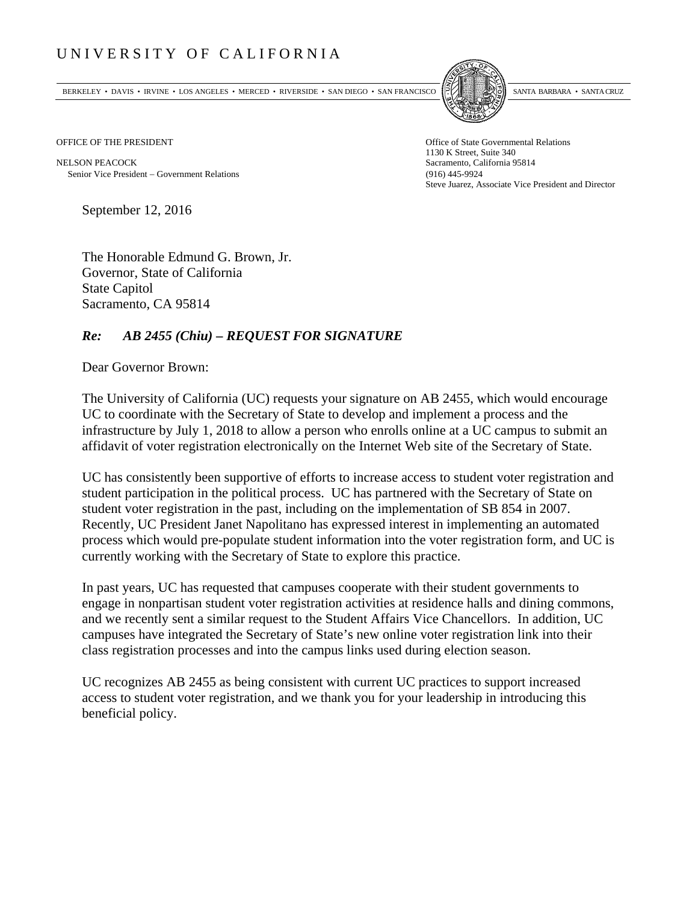## UNIVERSITY OF CALIFORNIA

BERKELEY • DAVIS • IRVINE • LOS ANGELES • MERCED • RIVERSIDE • SAN DIEGO • SAN FRANCISCO SANTA BARBARA • SANTA CRUZ



OFFICE OF THE PRESIDENT STATES OF THE PRESIDENT

NELSON PEACOCK Sacramento, California 95814 Senior Vice President Government Relations (916) 445-9924

1130 K Street, Suite 340 Steve Juarez, Associate Vice President and Director

September 12, 2016

The Honorable Edmund G. Brown, Jr. Governor, State of California State Capitol Sacramento, CA 95814

## *Re: AB 2455 (Chiu) – REQUEST FOR SIGNATURE*

Dear Governor Brown:

The University of California (UC) requests your signature on AB 2455, which would encourage UC to coordinate with the Secretary of State to develop and implement a process and the infrastructure by July 1, 2018 to allow a person who enrolls online at a UC campus to submit an affidavit of voter registration electronically on the Internet Web site of the Secretary of State.

UC has consistently been supportive of efforts to increase access to student voter registration and student participation in the political process. UC has partnered with the Secretary of State on student voter registration in the past, including on the implementation of SB 854 in 2007. Recently, UC President Janet Napolitano has expressed interest in implementing an automated process which would pre-populate student information into the voter registration form, and UC is currently working with the Secretary of State to explore this practice.

In past years, UC has requested that campuses cooperate with their student governments to engage in nonpartisan student voter registration activities at residence halls and dining commons, and we recently sent a similar request to the Student Affairs Vice Chancellors. In addition, UC campuses have integrated the Secretary of State's new online voter registration link into their class registration processes and into the campus links used during election season.

UC recognizes AB 2455 as being consistent with current UC practices to support increased access to student voter registration, and we thank you for your leadership in introducing this beneficial policy.